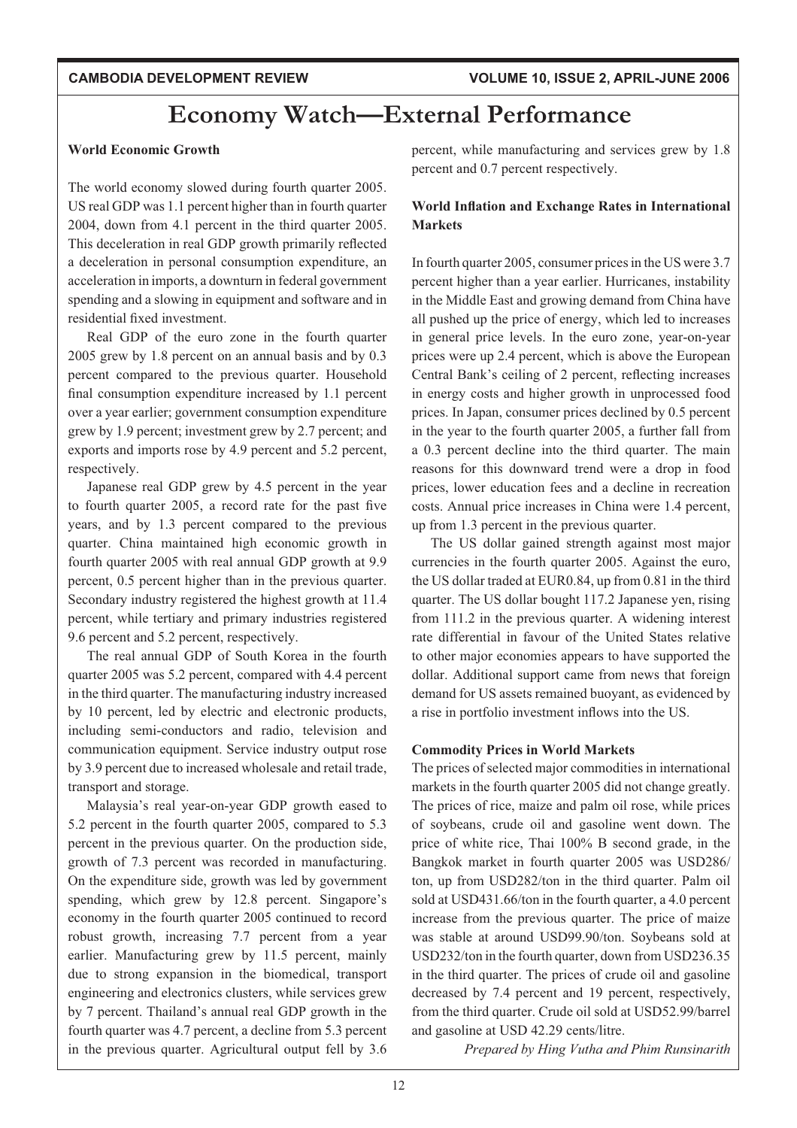# **Economy Watch-External Performance**

### **World Economic Growth**

The world economy slowed during fourth quarter 2005. US real GDP was 1.1 percent higher than in fourth quarter 2004, down from 4.1 percent in the third quarter 2005. This deceleration in real GDP growth primarily reflected a deceleration in personal consumption expenditure, an acceleration in imports, a downturn in federal government spending and a slowing in equipment and software and in residential fixed investment.

Real GDP of the euro zone in the fourth quarter 2005 grew by 1.8 percent on an annual basis and by 0.3 percent compared to the previous quarter. Household final consumption expenditure increased by 1.1 percent over a year earlier; government consumption expenditure grew by 1.9 percent; investment grew by 2.7 percent; and exports and imports rose by 4.9 percent and 5.2 percent, respectively.

Japanese real GDP grew by 4.5 percent in the year to fourth quarter 2005, a record rate for the past five years, and by 1.3 percent compared to the previous quarter. China maintained high economic growth in fourth quarter 2005 with real annual GDP growth at 9.9 percent, 0.5 percent higher than in the previous quarter. Secondary industry registered the highest growth at 11.4 percent, while tertiary and primary industries registered 9.6 percent and 5.2 percent, respectively.

The real annual GDP of South Korea in the fourth quarter 2005 was 5.2 percent, compared with 4.4 percent in the third quarter. The manufacturing industry increased by 10 percent, led by electric and electronic products, including semi-conductors and radio, television and communication equipment. Service industry output rose by 3.9 percent due to increased wholesale and retail trade, transport and storage.

Malaysia's real year-on-year GDP growth eased to 5.2 percent in the fourth quarter 2005, compared to 5.3 percent in the previous quarter. On the production side, growth of 7.3 percent was recorded in manufacturing. On the expenditure side, growth was led by government spending, which grew by 12.8 percent. Singapore's economy in the fourth quarter 2005 continued to record robust growth, increasing 7.7 percent from a year earlier. Manufacturing grew by 11.5 percent, mainly due to strong expansion in the biomedical, transport engineering and electronics clusters, while services grew by 7 percent. Thailand's annual real GDP growth in the fourth quarter was 4.7 percent, a decline from 5.3 percent in the previous quarter. Agricultural output fell by 3.6 percent, while manufacturing and services grew by 1.8 percent and 0.7 percent respectively.

# World Inflation and Exchange Rates in International **Markets**

In fourth quarter 2005, consumer prices in the US were 3.7 percent higher than a year earlier. Hurricanes, instability in the Middle East and growing demand from China have all pushed up the price of energy, which led to increases in general price levels. In the euro zone, year-on-year prices were up 2.4 percent, which is above the European Central Bank's ceiling of 2 percent, reflecting increases in energy costs and higher growth in unprocessed food prices. In Japan, consumer prices declined by 0.5 percent in the year to the fourth quarter 2005, a further fall from a 0.3 percent decline into the third quarter. The main reasons for this downward trend were a drop in food prices, lower education fees and a decline in recreation costs. Annual price increases in China were 1.4 percent, up from 1.3 percent in the previous quarter.

The US dollar gained strength against most major currencies in the fourth quarter 2005. Against the euro, the US dollar traded at EUR0.84, up from 0.81 in the third quarter. The US dollar bought 117.2 Japanese yen, rising from 111.2 in the previous quarter. A widening interest rate differential in favour of the United States relative to other major economies appears to have supported the dollar. Additional support came from news that foreign demand for US assets remained buoyant, as evidenced by a rise in portfolio investment inflows into the US.

## **Commodity Prices in World Markets**

The prices of selected major commodities in international markets in the fourth quarter 2005 did not change greatly. The prices of rice, maize and palm oil rose, while prices of soybeans, crude oil and gasoline went down. The price of white rice, Thai 100% B second grade, in the Bangkok market in fourth quarter 2005 was USD286/ ton, up from USD282/ton in the third quarter. Palm oil sold at USD431.66/ton in the fourth quarter, a 4.0 percent increase from the previous quarter. The price of maize was stable at around USD99.90/ton. Soybeans sold at USD232/ton in the fourth quarter, down from USD236.35 in the third quarter. The prices of crude oil and gasoline decreased by 7.4 percent and 19 percent, respectively, from the third quarter. Crude oil sold at USD52.99/barrel and gasoline at USD 42.29 cents/litre.

Prepared by Hing Vutha and Phim Runsinarith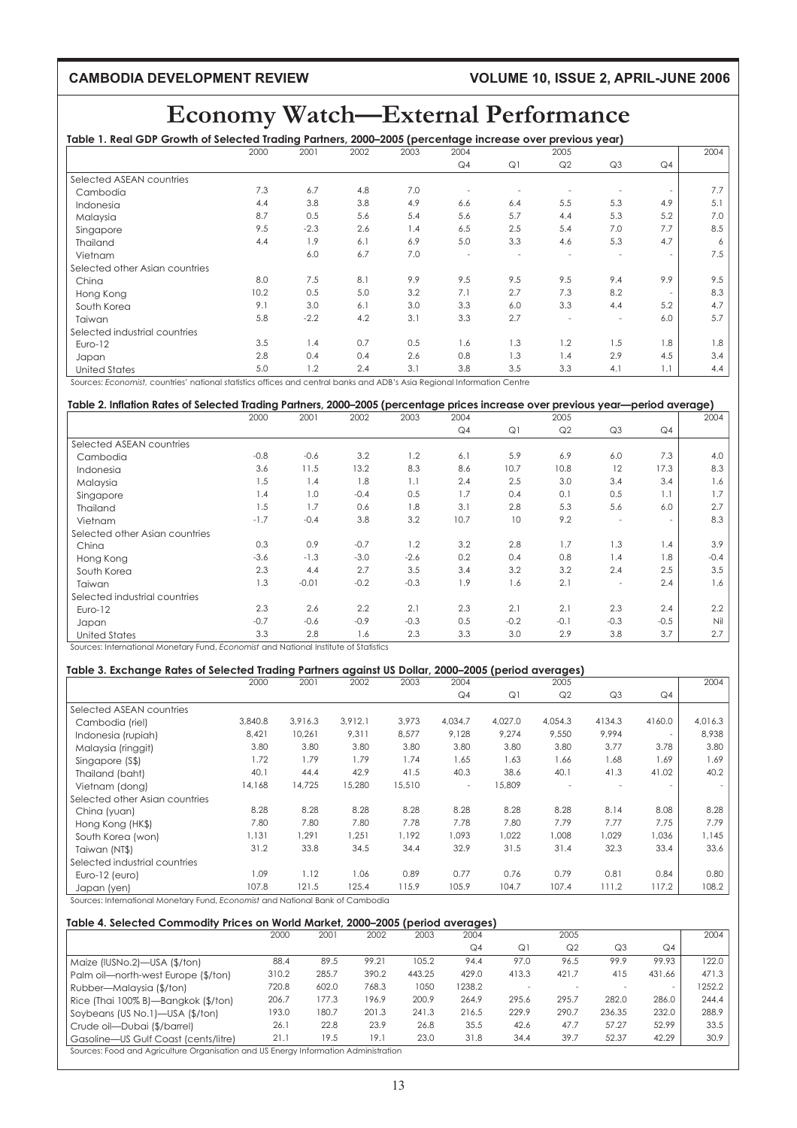**CAMBODIA DEVELOPMENT REVIEW VOLUME 10, ISSUE 2, APRIL-JUNE 2006**

# **Economy Watch—External Performance**

| Table 1. Real GDP Growth of Selected Trading Partners, 2000-2005 (percentage increase over previous year) | 2000 | 2001   | 2002 | 2003 | 2004           |     | 2005           |                          |                          | 2004 |
|-----------------------------------------------------------------------------------------------------------|------|--------|------|------|----------------|-----|----------------|--------------------------|--------------------------|------|
|                                                                                                           |      |        |      |      | Q <sub>4</sub> | Q1  | Q <sub>2</sub> | Q <sub>3</sub>           | Q4                       |      |
| Selected ASEAN countries                                                                                  |      |        |      |      |                |     |                |                          |                          |      |
| Cambodia                                                                                                  | 7.3  | 6.7    | 4.8  | 7.0  |                |     |                |                          |                          | 7.7  |
| Indonesia                                                                                                 | 4.4  | 3.8    | 3.8  | 4.9  | 6.6            | 6.4 | 5.5            | 5.3                      | 4.9                      | 5.1  |
| Malaysia                                                                                                  | 8.7  | 0.5    | 5.6  | 5.4  | 5.6            | 5.7 | 4.4            | 5.3                      | 5.2                      | 7.0  |
| Singapore                                                                                                 | 9.5  | $-2.3$ | 2.6  | 1.4  | 6.5            | 2.5 | 5.4            | 7.0                      | 7.7                      | 8.5  |
| <b>Thailand</b>                                                                                           | 4.4  | 1.9    | 6.1  | 6.9  | 5.0            | 3.3 | 4.6            | 5.3                      | 4.7                      | 6    |
| Vietnam                                                                                                   |      | 6.0    | 6.7  | 7.0  | ۰              |     |                |                          | -                        | 7.5  |
| Selected other Asian countries                                                                            |      |        |      |      |                |     |                |                          |                          |      |
| China                                                                                                     | 8.0  | 7.5    | 8.1  | 9.9  | 9.5            | 9.5 | 9.5            | 9.4                      | 9.9                      | 9.5  |
| Hong Kong                                                                                                 | 10.2 | 0.5    | 5.0  | 3.2  | 7.1            | 2.7 | 7.3            | 8.2                      | $\overline{\phantom{0}}$ | 8.3  |
| South Korea                                                                                               | 9.1  | 3.0    | 6.1  | 3.0  | 3.3            | 6.0 | 3.3            | 4.4                      | 5.2                      | 4.7  |
| Taiwan                                                                                                    | 5.8  | $-2.2$ | 4.2  | 3.1  | 3.3            | 2.7 |                | $\overline{\phantom{a}}$ | 6.0                      | 5.7  |
| Selected industrial countries                                                                             |      |        |      |      |                |     |                |                          |                          |      |
| Euro-12                                                                                                   | 3.5  | 1.4    | 0.7  | 0.5  | 1.6            | 1.3 | 1.2            | 1.5                      | 1.8                      | 1.8  |
| Japan                                                                                                     | 2.8  | 0.4    | 0.4  | 2.6  | 0.8            | 1.3 | 1.4            | 2.9                      | 4.5                      | 3.4  |
| <b>United States</b>                                                                                      | 5.0  | 1.2    | 2.4  | 3.1  | 3.8            | 3.5 | 3.3            | 4.1                      | 1.1                      | 4.4  |

Sources: *Economist,* countries' national statistics offices and central banks and ADB's Asia Regional Information Centre

#### **Table 2. Inflation Rates of Selected Trading Partners, 2000–2005 (percentage prices increase over previous year—period average)** 2000 2001 2002 2003 2004 2005 2004 Q4 Q1 Q2 Q3 Q4 Selected ASEAN countries Cambodia -0.8 -0.6 3.2 1.2 6.1 5.9 6.9 6.0 7.3 4.0 Indonesia 3.6 11.5 13.2 8.3 8.6 10.7 10.8 12 17.3 8.3 Malaysia 1.5 1.4 1.8 1.1 2.4 2.5 3.0 3.4 3.4 1.6 Singapore 1.4 1.0 -0.4 0.5 1.7 0.4 0.1 0.5 1.1 1.7 Thailand 1.5 1.7 0.6 1.8 3.1 2.8 5.3 5.6 6.0 2.7 Vietnam -1.7 -0.4 3.8 3.2 10.7 10 9.2 - - 8.3 Selected other Asian countries China 0.3 0.9 -0.7 1.2 3.2 2.8 1.7 1.3 1.4 3.9 Hong Kong -3.6 -1.3 -3.0 -2.6 0.2 0.4 0.8 1.4 1.8 -0.4 South Korea 2.3 4.4 2.7 3.5 3.4 3.2 3.2 2.4 2.5 3.5 Taiwan 1.3 -0.01 -0.2 -0.3 1.9 1.6 2.1 - 2.4 1.6 Selected industrial countries Euro-12 2.3 2.6 2.2 2.1 2.3 2.1 2.1 2.3 2.4 2.2 Japan -0.7 -0.6 -0.9 -0.3 0.5 -0.2 -0.1 -0.3 -0.5 Nil United States 3.3 2.8 1.6 2.3 3.3 3.0 2.9 3.8 3.7 2.7

Sources: International Monetary Fund, *Economist* and National Institute of Statistics

#### **Table 3. Exchange Rates of Selected Trading Partners against US Dollar, 2000–2005 (period averages)**

|                                | 2000    | 2001    | 2002    | 2003   | 2004                     |         | 2005           |                |                          | 2004    |
|--------------------------------|---------|---------|---------|--------|--------------------------|---------|----------------|----------------|--------------------------|---------|
|                                |         |         |         |        | Q4                       | Q1      | Q <sub>2</sub> | Q <sub>3</sub> | Q4                       |         |
| Selected ASEAN countries       |         |         |         |        |                          |         |                |                |                          |         |
| Cambodia (riel)                | 3,840.8 | 3,916.3 | 3.912.1 | 3,973  | 4,034.7                  | 4,027.0 | 4,054.3        | 4134.3         | 4160.0                   | 4,016.3 |
| Indonesia (rupiah)             | 8,421   | 10,261  | 9,311   | 8,577  | 9,128                    | 9.274   | 9,550          | 9,994          | $\overline{\phantom{0}}$ | 8,938   |
| Malaysia (ringgit)             | 3.80    | 3.80    | 3.80    | 3.80   | 3.80                     | 3.80    | 3.80           | 3.77           | 3.78                     | 3.80    |
| Singapore (S\$)                | 1.72    | 1.79    | 1.79    | 1.74   | 1.65                     | 1.63    | 1.66           | 1.68           | 1.69                     | 1.69    |
| Thailand (baht)                | 40.1    | 44.4    | 42.9    | 41.5   | 40.3                     | 38.6    | 40.1           | 41.3           | 41.02                    | 40.2    |
| Vietnam (dong)                 | 14,168  | 14,725  | 15,280  | 15,510 | $\overline{\phantom{a}}$ | 15,809  |                |                |                          |         |
| Selected other Asian countries |         |         |         |        |                          |         |                |                |                          |         |
| China (yuan)                   | 8.28    | 8.28    | 8.28    | 8.28   | 8.28                     | 8.28    | 8.28           | 8.14           | 8.08                     | 8.28    |
| Hong Kong (HK\$)               | 7.80    | 7.80    | 7.80    | 7.78   | 7.78                     | 7.80    | 7.79           | 7.77           | 7.75                     | 7.79    |
| South Korea (won)              | 1.131   | 1.291   | 1.251   | 1.192  | 1.093                    | 1.022   | 008.1          | 1.029          | 1,036                    | 1,145   |
| Taiwan (NT\$)                  | 31.2    | 33.8    | 34.5    | 34.4   | 32.9                     | 31.5    | 31.4           | 32.3           | 33.4                     | 33.6    |
| Selected industrial countries  |         |         |         |        |                          |         |                |                |                          |         |
| Euro-12 (euro)                 | 1.09    | 1.12    | 1.06    | 0.89   | 0.77                     | 0.76    | 0.79           | 0.81           | 0.84                     | 0.80    |
| Japan (yen)                    | 107.8   | 121.5   | 125.4   | 115.9  | 105.9                    | 104.7   | 107.4          | 111.2          | 117.2                    | 108.2   |

Sources: International Monetary Fund, *Economist* and National Bank of Cambodia

#### **Table 4. Selected Commodity Prices on World Market, 2000–2005 (period averages)**

|                                      | 2000  | 2001  | 2002  | 2003   | 2004           |       | 2005           |        |        | 2004   |
|--------------------------------------|-------|-------|-------|--------|----------------|-------|----------------|--------|--------|--------|
|                                      |       |       |       |        | Q <sub>4</sub> | Q1    | Q <sub>2</sub> | Q3     | Q4     |        |
| Maize (IUSNo.2)-USA (\$/ton)         | 88.4  | 89.5  | 99.21 | 105.2  | 94.4           | 97.0  | 96.5           | 99.9   | 99.93  | 122.0  |
| Palm oil-north-west Europe (\$/ton)  | 310.2 | 285.7 | 390.2 | 443.25 | 429.0          | 413.3 | 421.7          | 415    | 431.66 | 471.3  |
| Rubber-Malaysia (\$/ton)             | 720.8 | 602.0 | 768.3 | 1050   | 1238.2         |       |                |        | $\sim$ | 1252.2 |
| Rice (Thai 100% B)-Bangkok (\$/ton)  | 206.7 | 177.3 | 196.9 | 200.9  | 264.9          | 295.6 | 295.7          | 282.0  | 286.0  | 244.4  |
| Soybeans (US No.1)-USA (\$/ton)      | 193.0 | 180.7 | 201.3 | 241.3  | 216.5          | 229.9 | 290.7          | 236.35 | 232.0  | 288.9  |
| Crude oil-Dubai (\$/barrel)          | 26.1  | 22.8  | 23.9  | 26.8   | 35.5           | 42.6  | 47.7           | 57.27  | 52.99  | 33.5   |
| Gasoline-US Gulf Coast (cents/litre) | 21.1  | 19.5  | 19.1  | 23.0   | 31.8           | 34.4  | 39.7           | 52.37  | 42.29  | 30.9   |

Sources: Food and Agriculture Organisation and US Energy Information Administration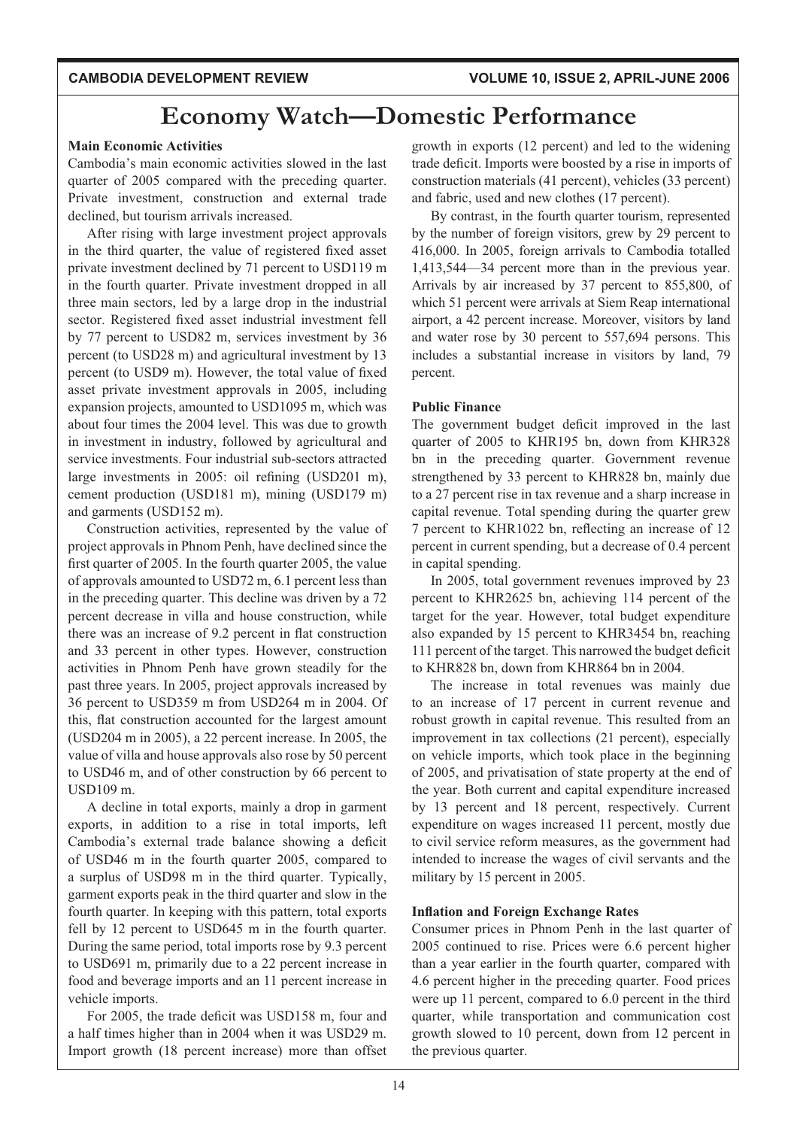### **CAMBODIA DEVELOPMENT REVIEW**

# **Economy Watch-Domestic Performance**

### **Main Economic Activities**

Cambodia's main economic activities slowed in the last quarter of 2005 compared with the preceding quarter. Private investment, construction and external trade declined but tourism arrivals increased

After rising with large investment project approvals in the third quarter, the value of registered fixed asset private investment declined by 71 percent to USD119 m in the fourth quarter. Private investment dropped in all three main sectors, led by a large drop in the industrial sector. Registered fixed asset industrial investment fell by 77 percent to USD82 m, services investment by 36 percent (to USD28 m) and agricultural investment by 13 percent (to USD9 m). However, the total value of fixed asset private investment approvals in 2005, including expansion projects, amounted to USD1095 m, which was about four times the 2004 level. This was due to growth in investment in industry, followed by agricultural and service investments. Four industrial sub-sectors attracted large investments in 2005: oil refining (USD201 m), cement production (USD181 m), mining (USD179 m) and garments (USD152 m).

Construction activities, represented by the value of project approvals in Phnom Penh, have declined since the first quarter of 2005. In the fourth quarter 2005, the value of approvals amounted to USD72 m, 6.1 percent less than in the preceding quarter. This decline was driven by a 72 percent decrease in villa and house construction, while there was an increase of 9.2 percent in flat construction and 33 percent in other types. However, construction activities in Phnom Penh have grown steadily for the past three years. In 2005, project approvals increased by 36 percent to USD359 m from USD264 m in 2004. Of this, flat construction accounted for the largest amount (USD204 m in 2005), a 22 percent increase. In 2005, the value of villa and house approvals also rose by 50 percent to USD46 m, and of other construction by 66 percent to USD109 m.

A decline in total exports, mainly a drop in garment exports, in addition to a rise in total imports, left Cambodia's external trade balance showing a deficit of USD46 m in the fourth quarter 2005, compared to a surplus of USD98 m in the third quarter. Typically, garment exports peak in the third quarter and slow in the fourth quarter. In keeping with this pattern, total exports fell by 12 percent to USD645 m in the fourth quarter. During the same period, total imports rose by 9.3 percent to USD691 m, primarily due to a 22 percent increase in food and beverage imports and an 11 percent increase in vehicle imports.

For 2005, the trade deficit was USD158 m, four and a half times higher than in 2004 when it was USD29 m. Import growth (18 percent increase) more than offset growth in exports (12 percent) and led to the widening trade deficit. Imports were boosted by a rise in imports of construction materials (41 percent), vehicles (33 percent) and fabric, used and new clothes (17 percent).

By contrast, in the fourth quarter tourism, represented by the number of foreign visitors, grew by 29 percent to 416,000. In 2005, foreign arrivals to Cambodia totalled 1,413,544—34 percent more than in the previous year. Arrivals by air increased by 37 percent to 855,800, of which 51 percent were arrivals at Siem Reap international airport, a 42 percent increase. Moreover, visitors by land and water rose by 30 percent to 557,694 persons. This includes a substantial increase in visitors by land, 79 percent.

### **Public Finance**

The government budget deficit improved in the last quarter of 2005 to KHR195 bn, down from KHR328 bn in the preceding quarter. Government revenue strengthened by 33 percent to KHR828 bn, mainly due to a 27 percent rise in tax revenue and a sharp increase in capital revenue. Total spending during the quarter grew 7 percent to KHR1022 bn, reflecting an increase of 12 percent in current spending, but a decrease of 0.4 percent in capital spending.

In 2005, total government revenues improved by 23 percent to KHR2625 bn, achieving 114 percent of the target for the year. However, total budget expenditure also expanded by 15 percent to KHR3454 bn, reaching 111 percent of the target. This narrowed the budget deficit to KHR828 bn, down from KHR864 bn in 2004.

The increase in total revenues was mainly due to an increase of 17 percent in current revenue and robust growth in capital revenue. This resulted from an improvement in tax collections (21 percent), especially on vehicle imports, which took place in the beginning of 2005, and privatisation of state property at the end of the year. Both current and capital expenditure increased by 13 percent and 18 percent, respectively. Current expenditure on wages increased 11 percent, mostly due to civil service reform measures, as the government had intended to increase the wages of civil servants and the military by 15 percent in 2005.

### **Inflation and Foreign Exchange Rates**

Consumer prices in Phnom Penh in the last quarter of 2005 continued to rise. Prices were 6.6 percent higher than a year earlier in the fourth quarter, compared with 4.6 percent higher in the preceding quarter. Food prices were up 11 percent, compared to 6.0 percent in the third quarter, while transportation and communication cost growth slowed to 10 percent, down from 12 percent in the previous quarter.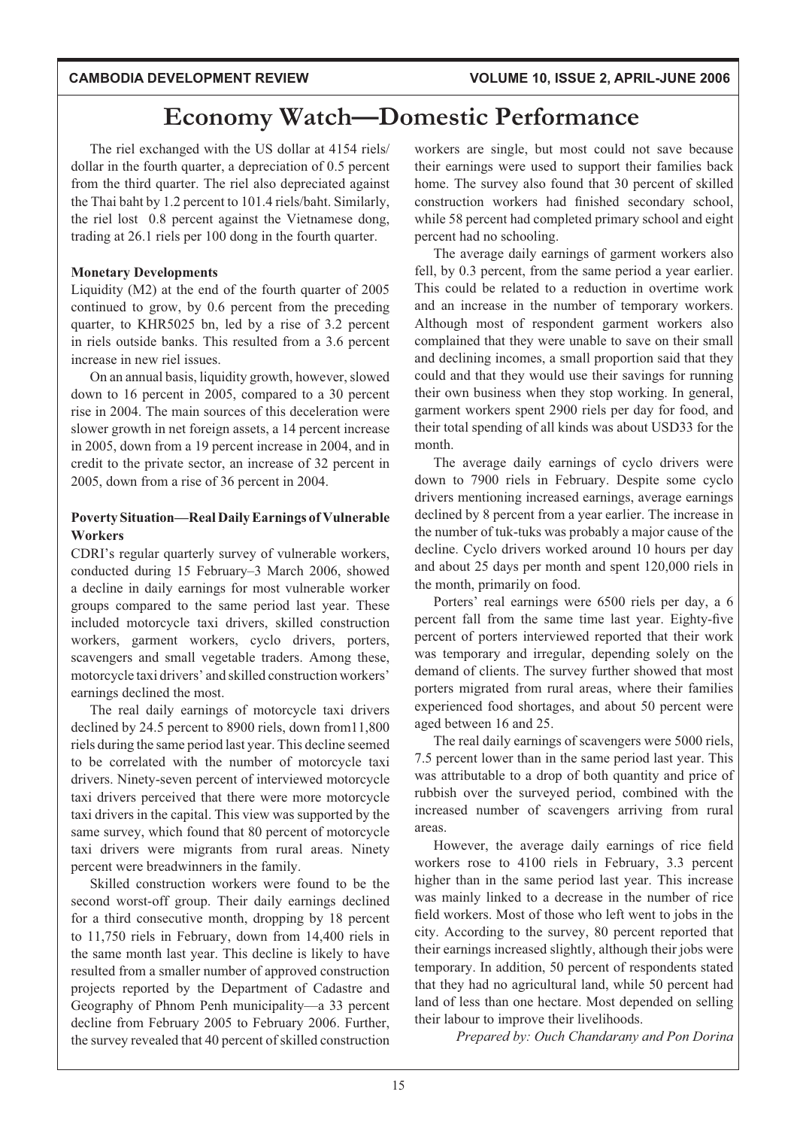# **Economy Watch—Domestic Performance**

The riel exchanged with the US dollar at 4154 riels/ dollar in the fourth quarter, a depreciation of 0.5 percent from the third quarter. The riel also depreciated against the Thai baht by 1.2 percent to 101.4 riels/baht. Similarly, the riel lost 0.8 percent against the Vietnamese dong, trading at  $26.1$  riels per 100 dong in the fourth quarter.

## **Monetary Developments**

Liquidity (M2) at the end of the fourth quarter of  $2005$ continued to grow, by  $0.6$  percent from the preceding quarter, to KHR5025 bn, led by a rise of 3.2 percent in riels outside banks. This resulted from a 3.6 percent increase in new riel issues.

On an annual basis, liquidity growth, however, slowed down to 16 percent in 2005, compared to a 30 percent rise in 2004. The main sources of this deceleration were slower growth in net foreign assets, a 14 percent increase in 2005, down from a 19 percent increase in 2004, and in credit to the private sector, an increase of 32 percent in 2005, down from a rise of 36 percent in 2004.

# **Poverty Situation—Real Daily Earnings of Vulnerable Workers**

CDRI's regular quarterly survey of vulnerable workers, conducted during 15 February–3 March 2006, showed a decline in daily earnings for most vulnerable worker groups compared to the same period last year. These included motorcycle taxi drivers, skilled construction workers, garment workers, cyclo drivers, porters, scavengers and small vegetable traders. Among these, motorcycle taxi drivers' and skilled construction workers' earnings declined the most.

The real daily earnings of motorcycle taxi drivers declined by 24.5 percent to 8900 riels, down from  $11,800$ riels during the same period last year. This decline seemed to be correlated with the number of motorcycle taxi drivers. Ninety-seven percent of interviewed motorcycle taxi drivers perceived that there were more motorcycle taxi drivers in the capital. This view was supported by the same survey, which found that 80 percent of motorcycle taxi drivers were migrants from rural areas. Ninety percent were breadwinners in the family.

Skilled construction workers were found to be the second worst-off group. Their daily earnings declined for a third consecutive month, dropping by  $18$  percent to 11,750 riels in February, down from 14,400 riels in the same month last year. This decline is likely to have resulted from a smaller number of approved construction projects reported by the Department of Cadastre and Geography of Phnom Penh municipality—a 33 percent decline from February 2005 to February 2006. Further, the survey revealed that 40 percent of skilled construction

workers are single, but most could not save because their earnings were used to support their families back home. The survey also found that 30 percent of skilled construction workers had finished secondary school, while 58 percent had completed primary school and eight percent had no schooling.

The average daily earnings of garment workers also fell, by  $0.3$  percent, from the same period a year earlier. This could be related to a reduction in overtime work and an increase in the number of temporary workers. Although most of respondent garment workers also complained that they were unable to save on their small and declining incomes, a small proportion said that they could and that they would use their savings for running their own business when they stop working. In general, garment workers spent 2900 riels per day for food, and their total spending of all kinds was about USD33 for the month.

The average daily earnings of cyclo drivers were down to 7900 riels in February. Despite some cyclo drivers mentioning increased earnings, average earnings declined by 8 percent from a year earlier. The increase in the number of tuk-tuks was probably a major cause of the decline. Cyclo drivers worked around 10 hours per day and about 25 days per month and spent  $120,000$  riels in the month, primarily on food.

Porters' real earnings were 6500 riels per day, a 6 percent fall from the same time last year. Eighty-five percent of porters interviewed reported that their work was temporary and irregular, depending solely on the demand of clients. The survey further showed that most porters migrated from rural areas, where their families experienced food shortages, and about 50 percent were aged between 16 and 25.

The real daily earnings of scavengers were 5000 riels, 7.5 percent lower than in the same period last year. This was attributable to a drop of both quantity and price of rubbish over the surveyed period, combined with the increased number of scavengers arriving from rural areas.

However, the average daily earnings of rice field workers rose to  $4100$  riels in February, 3.3 percent higher than in the same period last year. This increase was mainly linked to a decrease in the number of rice field workers. Most of those who left went to jobs in the city. According to the survey, 80 percent reported that their earnings increased slightly, although their jobs were temporary. In addition, 50 percent of respondents stated that they had no agricultural land, while 50 percent had land of less than one hectare. Most depended on selling their labour to improve their livelihoods.

*Prepared by: Ouch Chandarany and Pon Dorina*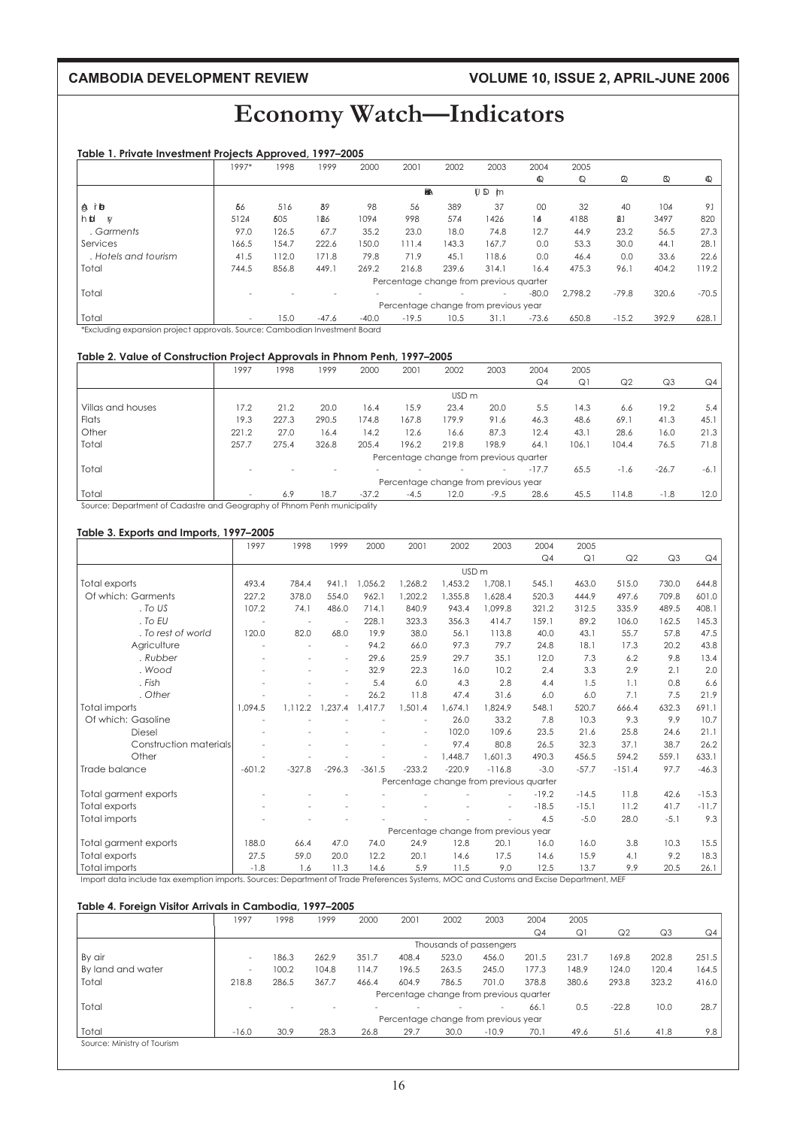# **CAMBODIA DEVELOPMENT REVIEW VOLUME 10, ISSUE 2, APRIL-JUNE 2006**

# **Economy Watch—Indicators**

#### **Table 1. Private Investment Projects Approved, 1997–2005**

|                      | 1997* | 1998  | 1999    | 2000    | 2001    | 2002  | 2003                                    | 2004    | 2005         |                |            |         |
|----------------------|-------|-------|---------|---------|---------|-------|-----------------------------------------|---------|--------------|----------------|------------|---------|
|                      |       |       |         |         |         |       |                                         | ⊕       | $\mathbb{Q}$ | $\Omega$       | $^{\circ}$ | ⊕       |
|                      |       |       |         |         | 醠       |       | $UD$ $m$                                |         |              |                |            |         |
| g ib                 | 56    | 516   | 89      | 98      | 56      | 389   | 37                                      | 00      | 32           | 40             | 104        | 91      |
| h ti<br>M            | 5124  | 505   | 186     | 1094    | 998     | 574   | 1426                                    | 14      | 4188         | 2 <sup>3</sup> | 3497       | 820     |
| . Garments           | 97.0  | 126.5 | 67.7    | 35.2    | 23.0    | 18.0  | 74.8                                    | 12.7    | 44.9         | 23.2           | 56.5       | 27.3    |
| Services             | 166.5 | 154.7 | 222.6   | 150.0   | 111.4   | 143.3 | 167.7                                   | 0.0     | 53.3         | 30.0           | 44.1       | 28.1    |
| . Hotels and tourism | 41.5  | 112.0 | 171.8   | 79.8    | 71.9    | 45.1  | 118.6                                   | 0.0     | 46.4         | 0.0            | 33.6       | 22.6    |
| Total                | 744.5 | 856.8 | 449.1   | 269.2   | 216.8   | 239.6 | 314.1                                   | 16.4    | 475.3        | 96.1           | 404.2      | 119.2   |
|                      |       |       |         |         |         |       | Percentage change from previous quarter |         |              |                |            |         |
| Total                |       |       |         |         |         |       | $\sim$                                  | $-80.0$ | 2.798.2      | $-79.8$        | 320.6      | $-70.5$ |
|                      |       |       |         |         |         |       | Percentage change from previous year    |         |              |                |            |         |
| Total                |       | 15.0  | $-47.6$ | $-40.0$ | $-19.5$ | 10.5  | 31.1                                    | $-73.6$ | 650.8        | $-15.2$        | 392.9      | 628.1   |

\*Excluding expansion project approvals. Source: Cambodian Investment Board

#### **Table 2. Value of Construction Project Approvals in Phnom Penh, 1997–2005**

|                   | 1997  | . .<br>1998 | 1999  | 2000    | 2001   | 2002             | 2003                                    | 2004    | 2005  |                |                |        |
|-------------------|-------|-------------|-------|---------|--------|------------------|-----------------------------------------|---------|-------|----------------|----------------|--------|
|                   |       |             |       |         |        |                  |                                         | Q4      | Q1    | Q <sub>2</sub> | Q <sub>3</sub> | Q4     |
|                   |       |             |       |         |        | USD <sub>m</sub> |                                         |         |       |                |                |        |
| Villas and houses | 17.2  | 21.2        | 20.0  | 16.4    | 15.9   | 23.4             | 20.0                                    | 5.5     | 14.3  | 6.6            | 19.2           | 5.4    |
| <b>Flats</b>      | 19.3  | 227.3       | 290.5 | 174.8   | 167.8  | 179.9            | 91.6                                    | 46.3    | 48.6  | 69.1           | 41.3           | 45.1   |
| Other             | 221.2 | 27.0        | 16.4  | 14.2    | 12.6   | 16.6             | 87.3                                    | 12.4    | 43.1  | 28.6           | 16.0           | 21.3   |
| Total             | 257.7 | 275.4       | 326.8 | 205.4   | 196.2  | 219.8            | 198.9                                   | 64.1    | 106.1 | 104.4          | 76.5           | 71.8   |
|                   |       |             |       |         |        |                  | Percentage change from previous quarter |         |       |                |                |        |
| Total             |       |             |       |         |        |                  | -                                       | $-17.7$ | 65.5  | $-1.6$         | $-26.7$        | $-6.1$ |
|                   |       |             |       |         |        |                  | Percentage change from previous year    |         |       |                |                |        |
| Total             |       | 6.9         | 18.7  | $-37.2$ | $-4.5$ | 12.0             | $-9.5$                                  | 28.6    | 45.5  | 114.8          | $-1.8$         | 12.0   |

Source: Department of Cadastre and Geography of Phnom Penh municipality

#### **Table 3. Exports and Imports, 1997–2005**

|                                                                                                                                         | 1997     | 1998     | 1999     | 2000     | 2001                     | 2002             | 2003                                    | 2004           | 2005    |                |                |         |
|-----------------------------------------------------------------------------------------------------------------------------------------|----------|----------|----------|----------|--------------------------|------------------|-----------------------------------------|----------------|---------|----------------|----------------|---------|
|                                                                                                                                         |          |          |          |          |                          |                  |                                         | Q <sub>4</sub> | Q1      | Q <sub>2</sub> | Q <sub>3</sub> | Q4      |
|                                                                                                                                         |          |          |          |          |                          | USD <sub>m</sub> |                                         |                |         |                |                |         |
| Total exports                                                                                                                           | 493.4    | 784.4    | 941.1    | 1.056.2  | 1.268.2                  | 1.453.2          | 1.708.1                                 | 545.1          | 463.0   | 515.0          | 730.0          | 644.8   |
| Of which: Garments                                                                                                                      | 227.2    | 378.0    | 554.0    | 962.1    | 1.202.2                  | 1.355.8          | 1.628.4                                 | 520.3          | 444.9   | 497.6          | 709.8          | 601.0   |
| . To US                                                                                                                                 | 107.2    | 74.1     | 486.0    | 714.1    | 840.9                    | 943.4            | 1.099.8                                 | 321.2          | 312.5   | 335.9          | 489.5          | 408.1   |
| . To EU                                                                                                                                 |          |          | $\sim$   | 228.1    | 323.3                    | 356.3            | 414.7                                   | 159.1          | 89.2    | 106.0          | 162.5          | 145.3   |
| . To rest of world                                                                                                                      | 120.0    | 82.0     | 68.0     | 19.9     | 38.0                     | 56.1             | 113.8                                   | 40.0           | 43.1    | 55.7           | 57.8           | 47.5    |
| Agriculture                                                                                                                             |          |          |          | 94.2     | 66.0                     | 97.3             | 79.7                                    | 24.8           | 18.1    | 17.3           | 20.2           | 43.8    |
| . Rubber                                                                                                                                |          |          |          | 29.6     | 25.9                     | 29.7             | 35.1                                    | 12.0           | 7.3     | 6.2            | 9.8            | 13.4    |
| . Wood                                                                                                                                  |          |          |          | 32.9     | 22.3                     | 16.0             | 10.2                                    | 2.4            | 3.3     | 2.9            | 2.1            | 2.0     |
| . Fish                                                                                                                                  |          |          |          | 5.4      | 6.0                      | 4.3              | 2.8                                     | 4.4            | 1.5     | 1.1            | 0.8            | 6.6     |
| . Other                                                                                                                                 |          |          |          | 26.2     | 11.8                     | 47.4             | 31.6                                    | 6.0            | 6.0     | 7.1            | 7.5            | 21.9    |
| Total imports                                                                                                                           | 1.094.5  | 1.112.2  | 1.237.4  | 1.417.7  | 1.501.4                  | 1.674.1          | 1.824.9                                 | 548.1          | 520.7   | 666.4          | 632.3          | 691.1   |
| Of which: Gasoline                                                                                                                      |          |          |          |          | $\overline{a}$           | 26.0             | 33.2                                    | 7.8            | 10.3    | 9.3            | 9.9            | 10.7    |
| Diesel                                                                                                                                  |          |          |          |          | $\overline{a}$           | 102.0            | 109.6                                   | 23.5           | 21.6    | 25.8           | 24.6           | 21.1    |
| Construction materials                                                                                                                  |          |          |          |          | $\overline{\phantom{a}}$ | 97.4             | 80.8                                    | 26.5           | 32.3    | 37.1           | 38.7           | 26.2    |
| Other                                                                                                                                   |          |          |          |          |                          | 1.448.7          | 1.601.3                                 | 490.3          | 456.5   | 594.2          | 559.1          | 633.1   |
| Trade balance                                                                                                                           | $-601.2$ | $-327.8$ | $-296.3$ | $-361.5$ | $-233.2$                 | $-220.9$         | $-116.8$                                | $-3.0$         | $-57.7$ | $-151.4$       | 97.7           | $-46.3$ |
|                                                                                                                                         |          |          |          |          |                          |                  | Percentage change from previous quarter |                |         |                |                |         |
| Total garment exports                                                                                                                   |          |          |          |          |                          |                  |                                         | $-19.2$        | $-14.5$ | 11.8           | 42.6           | $-15.3$ |
| Total exports                                                                                                                           |          |          |          |          |                          |                  |                                         | $-18.5$        | $-15.1$ | 11.2           | 41.7           | $-11.7$ |
| Total imports                                                                                                                           |          |          |          |          |                          |                  |                                         | 4.5            | $-5.0$  | 28.0           | $-5.1$         | 9.3     |
|                                                                                                                                         |          |          |          |          |                          |                  | Percentage change from previous year    |                |         |                |                |         |
| Total garment exports                                                                                                                   | 188.0    | 66.4     | 47.0     | 74.0     | 24.9                     | 12.8             | 20.1                                    | 16.0           | 16.0    | 3.8            | 10.3           | 15.5    |
| Total exports                                                                                                                           | 27.5     | 59.0     | 20.0     | 12.2     | 20.1                     | 14.6             | 17.5                                    | 14.6           | 15.9    | 4.1            | 9.2            | 18.3    |
| Total imports                                                                                                                           | $-1.8$   | 1.6      | 11.3     | 14.6     | 5.9                      | 11.5             | 9.0                                     | 12.5           | 13.7    | 9.9            | 20.5           | 26.1    |
| Import data include tax exemption imports. Sources: Department of Trade Preferences Systems, MOC and Customs and Excise Department, MEF |          |          |          |          |                          |                  |                                         |                |         |                |                |         |

#### **Table 4. Foreign Visitor Arrivals in Cambodia, 1997–2005**

|                             | 1997    | 1998  | 1999  | 2000  | 2001  | 2002  | 2003                                    | 2004  | 2005  |                |                |       |
|-----------------------------|---------|-------|-------|-------|-------|-------|-----------------------------------------|-------|-------|----------------|----------------|-------|
|                             |         |       |       |       |       |       |                                         |       |       |                |                |       |
|                             |         |       |       |       |       |       |                                         | Q4    | Q     | Q <sub>2</sub> | Q <sub>3</sub> | Q4    |
|                             |         |       |       |       |       |       | Thousands of passengers                 |       |       |                |                |       |
| By air                      | -       | 186.3 | 262.9 | 351.7 | 408.4 | 523.0 | 456.0                                   | 201.5 | 231.7 | 169.8          | 202.8          | 251.5 |
| By land and water           | ۰       | 100.2 | 104.8 | 14.7  | 196.5 | 263.5 | 245.0                                   | 177.3 | 148.9 | 124.0          | 120.4          | 164.5 |
| Total                       | 218.8   | 286.5 | 367.7 | 466.4 | 604.9 | 786.5 | 701.0                                   | 378.8 | 380.6 | 293.8          | 323.2          | 416.0 |
|                             |         |       |       |       |       |       | Percentage change from previous quarter |       |       |                |                |       |
| Total                       |         |       |       |       |       |       |                                         | 66.1  | 0.5   | $-22.8$        | 10.0           | 28.7  |
|                             |         |       |       |       |       |       | Percentage change from previous year    |       |       |                |                |       |
| Total                       | $-16.0$ | 30.9  | 28.3  | 26.8  | 29.7  | 30.0  | $-10.9$                                 | 70.1  | 49.6  | 51.6           | 41.8           | 9.8   |
| Source: Ministry of Tourism |         |       |       |       |       |       |                                         |       |       |                |                |       |

 $\mathfrak{se}\colon$  Ministry of Tourism